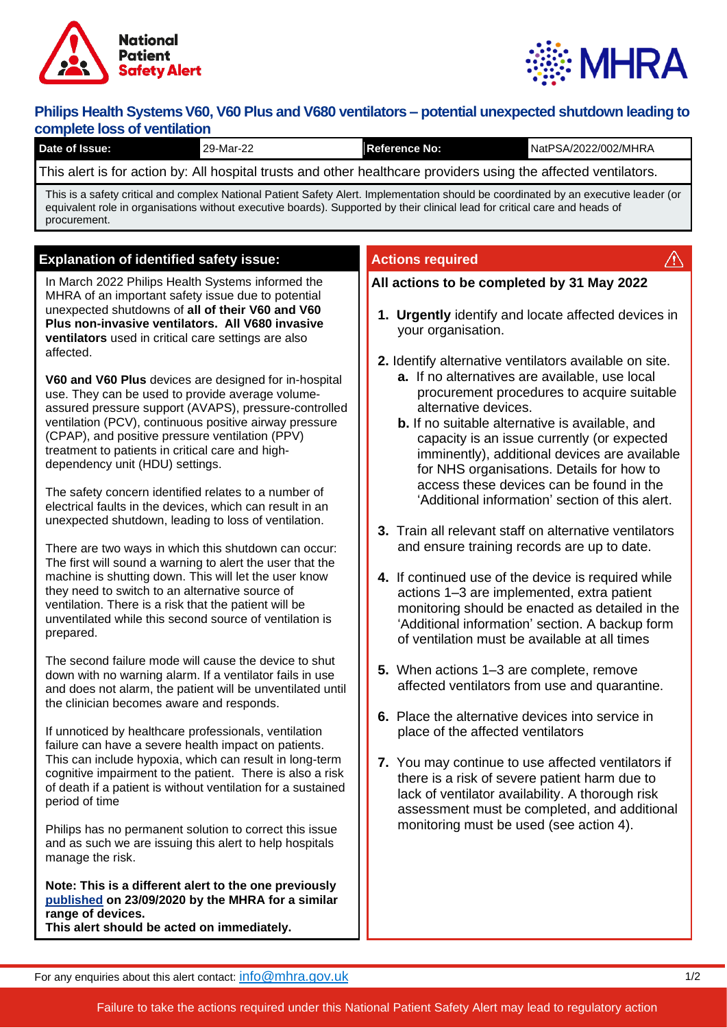



# **Philips Health Systems V60, V60 Plus and V680 ventilators - potential unexpected shutdown leading to complete loss of ventilation**

| complete loss of ventilation<br>Date of Issue:                                                                                                                                                                                                                                      | 29-Mar-22                                                                                                                                                                                                                                                                                                                                                                                                                                                                                                                                                                                                                                                                                                                                                                                                                                                                                                                                                                                                                                                                                                                                                                                                                                                                                                                                                                                                                                                                                                                                                                                                                                                                                                                                                                                                                                                                                          | <b>Reference No:</b>                                                                                                                                                                                                                                                                                                                                                                                                                                                                                         | NatPSA/2022/002/MHRA                                                                                                                                                                                                                                                                                                                                                                                                                                                                                                                                                                                                                                                                                                                                                                                                                                                                                                                                      |  |
|-------------------------------------------------------------------------------------------------------------------------------------------------------------------------------------------------------------------------------------------------------------------------------------|----------------------------------------------------------------------------------------------------------------------------------------------------------------------------------------------------------------------------------------------------------------------------------------------------------------------------------------------------------------------------------------------------------------------------------------------------------------------------------------------------------------------------------------------------------------------------------------------------------------------------------------------------------------------------------------------------------------------------------------------------------------------------------------------------------------------------------------------------------------------------------------------------------------------------------------------------------------------------------------------------------------------------------------------------------------------------------------------------------------------------------------------------------------------------------------------------------------------------------------------------------------------------------------------------------------------------------------------------------------------------------------------------------------------------------------------------------------------------------------------------------------------------------------------------------------------------------------------------------------------------------------------------------------------------------------------------------------------------------------------------------------------------------------------------------------------------------------------------------------------------------------------------|--------------------------------------------------------------------------------------------------------------------------------------------------------------------------------------------------------------------------------------------------------------------------------------------------------------------------------------------------------------------------------------------------------------------------------------------------------------------------------------------------------------|-----------------------------------------------------------------------------------------------------------------------------------------------------------------------------------------------------------------------------------------------------------------------------------------------------------------------------------------------------------------------------------------------------------------------------------------------------------------------------------------------------------------------------------------------------------------------------------------------------------------------------------------------------------------------------------------------------------------------------------------------------------------------------------------------------------------------------------------------------------------------------------------------------------------------------------------------------------|--|
|                                                                                                                                                                                                                                                                                     | This alert is for action by: All hospital trusts and other healthcare providers using the affected ventilators.                                                                                                                                                                                                                                                                                                                                                                                                                                                                                                                                                                                                                                                                                                                                                                                                                                                                                                                                                                                                                                                                                                                                                                                                                                                                                                                                                                                                                                                                                                                                                                                                                                                                                                                                                                                    |                                                                                                                                                                                                                                                                                                                                                                                                                                                                                                              |                                                                                                                                                                                                                                                                                                                                                                                                                                                                                                                                                                                                                                                                                                                                                                                                                                                                                                                                                           |  |
| This is a safety critical and complex National Patient Safety Alert. Implementation should be coordinated by an executive leader (or<br>equivalent role in organisations without executive boards). Supported by their clinical lead for critical care and heads of<br>procurement. |                                                                                                                                                                                                                                                                                                                                                                                                                                                                                                                                                                                                                                                                                                                                                                                                                                                                                                                                                                                                                                                                                                                                                                                                                                                                                                                                                                                                                                                                                                                                                                                                                                                                                                                                                                                                                                                                                                    |                                                                                                                                                                                                                                                                                                                                                                                                                                                                                                              |                                                                                                                                                                                                                                                                                                                                                                                                                                                                                                                                                                                                                                                                                                                                                                                                                                                                                                                                                           |  |
| affected.                                                                                                                                                                                                                                                                           | <b>Explanation of identified safety issue:</b><br>In March 2022 Philips Health Systems informed the<br>MHRA of an important safety issue due to potential<br>unexpected shutdowns of all of their V60 and V60<br>Plus non-invasive ventilators. All V680 invasive<br>ventilators used in critical care settings are also<br>V60 and V60 Plus devices are designed for in-hospital<br>use. They can be used to provide average volume-<br>assured pressure support (AVAPS), pressure-controlled<br>ventilation (PCV), continuous positive airway pressure<br>(CPAP), and positive pressure ventilation (PPV)<br>treatment to patients in critical care and high-<br>dependency unit (HDU) settings.<br>The safety concern identified relates to a number of<br>electrical faults in the devices, which can result in an<br>unexpected shutdown, leading to loss of ventilation.<br>There are two ways in which this shutdown can occur:<br>The first will sound a warning to alert the user that the<br>machine is shutting down. This will let the user know<br>they need to switch to an alternative source of<br>ventilation. There is a risk that the patient will be<br>unventilated while this second source of ventilation is<br>The second failure mode will cause the device to shut<br>down with no warning alarm. If a ventilator fails in use<br>and does not alarm, the patient will be unventilated until<br>the clinician becomes aware and responds.<br>If unnoticed by healthcare professionals, ventilation<br>failure can have a severe health impact on patients.<br>This can include hypoxia, which can result in long-term<br>cognitive impairment to the patient. There is also a risk<br>of death if a patient is without ventilation for a sustained<br>Philips has no permanent solution to correct this issue<br>and as such we are issuing this alert to help hospitals | <b>Actions required</b><br>$\sqrt{N}$<br>All actions to be completed by 31 May 2022<br>1. Urgently identify and locate affected devices in<br>your organisation.<br>2. Identify alternative ventilators available on site.<br>a. If no alternatives are available, use local<br>procurement procedures to acquire suitable<br>alternative devices.<br><b>b.</b> If no suitable alternative is available, and<br>capacity is an issue currently (or expected<br>imminently), additional devices are available |                                                                                                                                                                                                                                                                                                                                                                                                                                                                                                                                                                                                                                                                                                                                                                                                                                                                                                                                                           |  |
| prepared.                                                                                                                                                                                                                                                                           |                                                                                                                                                                                                                                                                                                                                                                                                                                                                                                                                                                                                                                                                                                                                                                                                                                                                                                                                                                                                                                                                                                                                                                                                                                                                                                                                                                                                                                                                                                                                                                                                                                                                                                                                                                                                                                                                                                    |                                                                                                                                                                                                                                                                                                                                                                                                                                                                                                              | for NHS organisations. Details for how to<br>access these devices can be found in the<br>'Additional information' section of this alert.<br>3. Train all relevant staff on alternative ventilators<br>and ensure training records are up to date.<br>4. If continued use of the device is required while<br>actions 1-3 are implemented, extra patient<br>monitoring should be enacted as detailed in the<br>'Additional information' section. A backup form<br>of ventilation must be available at all times<br>5. When actions 1-3 are complete, remove<br>affected ventilators from use and quarantine.<br>6. Place the alternative devices into service in<br>place of the affected ventilators<br>7. You may continue to use affected ventilators if<br>there is a risk of severe patient harm due to<br>lack of ventilator availability. A thorough risk<br>assessment must be completed, and additional<br>monitoring must be used (see action 4). |  |
| period of time<br>manage the risk.                                                                                                                                                                                                                                                  |                                                                                                                                                                                                                                                                                                                                                                                                                                                                                                                                                                                                                                                                                                                                                                                                                                                                                                                                                                                                                                                                                                                                                                                                                                                                                                                                                                                                                                                                                                                                                                                                                                                                                                                                                                                                                                                                                                    |                                                                                                                                                                                                                                                                                                                                                                                                                                                                                                              |                                                                                                                                                                                                                                                                                                                                                                                                                                                                                                                                                                                                                                                                                                                                                                                                                                                                                                                                                           |  |
| range of devices.                                                                                                                                                                                                                                                                   | Note: This is a different alert to the one previously<br>published on 23/09/2020 by the MHRA for a similar<br>This alert should be acted on immediately.                                                                                                                                                                                                                                                                                                                                                                                                                                                                                                                                                                                                                                                                                                                                                                                                                                                                                                                                                                                                                                                                                                                                                                                                                                                                                                                                                                                                                                                                                                                                                                                                                                                                                                                                           |                                                                                                                                                                                                                                                                                                                                                                                                                                                                                                              |                                                                                                                                                                                                                                                                                                                                                                                                                                                                                                                                                                                                                                                                                                                                                                                                                                                                                                                                                           |  |